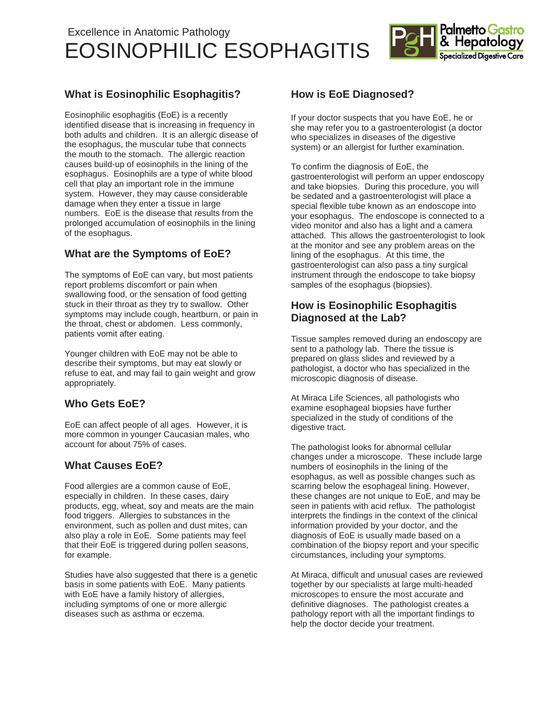# Excellence in Anatomic Pathology EOSINOPHILIC ESOPHAGITIS



## **What is Eosinophilic Esophagitis?**

Eosinophilic esophagitis (EoE) is a recently identified disease that is increasing in frequency in both adults and children. It is an allergic disease of the esophagus, the muscular tube that connects the mouth to the stomach. The allergic reaction causes build-up of eosinophils in the lining of the esophagus. Eosinophils are a type of white blood cell that play an important role in the immune system. However, they may cause considerable damage when they enter a tissue in large numbers. EoE is the disease that results from the prolonged accumulation of eosinophils in the lining of the esophagus.

### **What are the Symptoms of EoE?**

The symptoms of EoE can vary, but most patients report problems discomfort or pain when swallowing food, or the sensation of food getting stuck in their throat as they try to swallow. Other symptoms may include cough, heartburn, or pain in the throat, chest or abdomen. Less commonly, patients vomit after eating.

Younger children with EoE may not be able to describe their symptoms, but may eat slowly or refuse to eat, and may fail to gain weight and grow appropriately.

### **Who Gets EoE?**

EoE can affect people of all ages. However, it is more common in younger Caucasian males, who account for about 75% of cases.

### **What Causes EoE?**

Food allergies are a common cause of EoE, especially in children. In these cases, dairy products, egg, wheat, soy and meats are the main food triggers. Allergies to substances in the environment, such as pollen and dust mites, can also play a role in EoE. Some patients may feel that their EoE is triggered during pollen seasons, for example.

Studies have also suggested that there is a genetic basis in some patients with EoE. Many patients with EoE have a family history of allergies, including symptoms of one or more allergic diseases such as asthma or eczema.

### **How is EoE Diagnosed?**

If your doctor suspects that you have EoE, he or she may refer you to a gastroenterologist (a doctor who specializes in diseases of the digestive system) or an allergist for further examination.

To confirm the diagnosis of EoE, the gastroenterologist will perform an upper endoscopy and take biopsies. During this procedure, you will be sedated and a gastroenterologist will place a special flexible tube known as an endoscope into your esophagus. The endoscope is connected to a video monitor and also has a light and a camera attached. This allows the gastroenterologist to look at the monitor and see any problem areas on the lining of the esophagus. At this time, the gastroenterologist can also pass a tiny surgical instrument through the endoscope to take biopsy samples of the esophagus (biopsies).

### **How is Eosinophilic Esophagitis Diagnosed at the Lab?**

Tissue samples removed during an endoscopy are sent to a pathology lab. There the tissue is prepared on glass slides and reviewed by a pathologist, a doctor who has specialized in the microscopic diagnosis of disease.

At Miraca Life Sciences, all pathologists who examine esophageal biopsies have further specialized in the study of conditions of the digestive tract.

The pathologist looks for abnormal cellular changes under a microscope. These include large numbers of eosinophils in the lining of the esophagus, as well as possible changes such as scarring below the esophageal lining. However, these changes are not unique to EoE, and may be seen in patients with acid reflux. The pathologist interprets the findings in the context of the clinical information provided by your doctor, and the diagnosis of EoE is usually made based on a combination of the biopsy report and your specific circumstances, including your symptoms.

At Miraca, difficult and unusual cases are reviewed together by our specialists at large multi-headed microscopes to ensure the most accurate and definitive diagnoses. The pathologist creates a pathology report with all the important findings to help the doctor decide your treatment.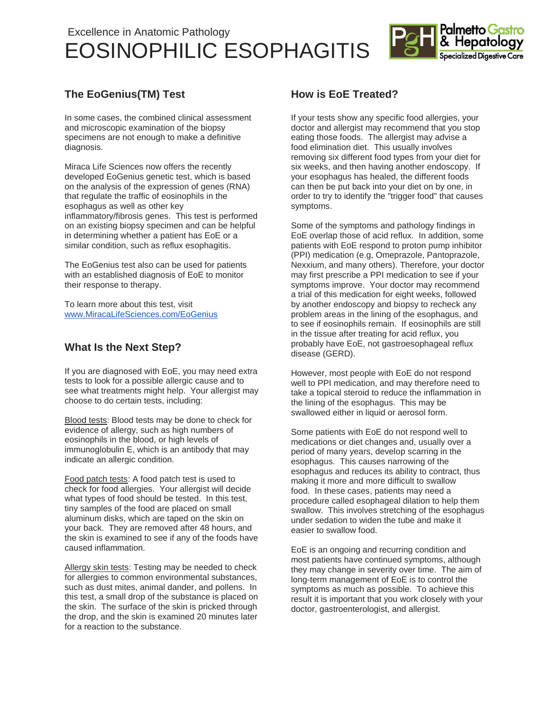# Excellence in Anatomic Pathology EOSINOPHILIC ESOPHAGITIS



## **The EoGenius(TM) Test**

In some cases, the combined clinical assessment and microscopic examination of the biopsy specimens are not enough to make a definitive diagnosis.

Miraca Life Sciences now offers the recently developed EoGenius genetic test, which is based on the analysis of the expression of genes (RNA) that regulate the traffic of eosinophils in the esophagus as well as other key inflammatory/fibrosis genes. This test is performed on an existing biopsy specimen and can be helpful in determining whether a patient has EoE or a similar condition, such as reflux esophagitis.

The EoGenius test also can be used for patients with an established diagnosis of EoE to monitor their response to therapy.

To learn more about this test, visit [www.MiracaLifeSciences.com/EoGenius](http://www.miracalifesciences.com/EoGenius)

### **What Is the Next Step?**

If you are diagnosed with EoE, you may need extra tests to look for a possible allergic cause and to see what treatments might help. Your allergist may choose to do certain tests, including:

Blood tests: Blood tests may be done to check for evidence of allergy, such as high numbers of eosinophils in the blood, or high levels of immunoglobulin E, which is an antibody that may indicate an allergic condition.

Food patch tests: A food patch test is used to check for food allergies. Your allergist will decide what types of food should be tested. In this test, tiny samples of the food are placed on small aluminum disks, which are taped on the skin on your back. They are removed after 48 hours, and the skin is examined to see if any of the foods have caused inflammation.

Allergy skin tests: Testing may be needed to check for allergies to common environmental substances, such as dust mites, animal dander, and pollens. In this test, a small drop of the substance is placed on the skin. The surface of the skin is pricked through the drop, and the skin is examined 20 minutes later for a reaction to the substance.

## **How is EoE Treated?**

If your tests show any specific food allergies, your doctor and allergist may recommend that you stop eating those foods. The allergist may advise a food elimination diet. This usually involves removing six different food types from your diet for six weeks, and then having another endoscopy. If your esophagus has healed, the different foods can then be put back into your diet on by one, in order to try to identify the "trigger food" that causes symptoms.

Some of the symptoms and pathology findings in EoE overlap those of acid reflux. In addition, some patients with EoE respond to proton pump inhibitor (PPI) medication (e.g, Omeprazole, Pantoprazole, Nexxium, and many others). Therefore, your doctor may first prescribe a PPI medication to see if your symptoms improve. Your doctor may recommend a trial of this medication for eight weeks, followed by another endoscopy and biopsy to recheck any problem areas in the lining of the esophagus, and to see if eosinophils remain. If eosinophils are still in the tissue after treating for acid reflux, you probably have EoE, not gastroesophageal reflux disease (GERD).

However, most people with EoE do not respond well to PPI medication, and may therefore need to take a topical steroid to reduce the inflammation in the lining of the esophagus. This may be swallowed either in liquid or aerosol form.

Some patients with EoE do not respond well to medications or diet changes and, usually over a period of many years, develop scarring in the esophagus. This causes narrowing of the esophagus and reduces its ability to contract, thus making it more and more difficult to swallow food. In these cases, patients may need a procedure called esophageal dilation to help them swallow. This involves stretching of the esophagus under sedation to widen the tube and make it easier to swallow food.

EoE is an ongoing and recurring condition and most patients have continued symptoms, although they may change in severity over time. The aim of long-term management of EoE is to control the symptoms as much as possible. To achieve this result it is important that you work closely with your doctor, gastroenterologist, and allergist.